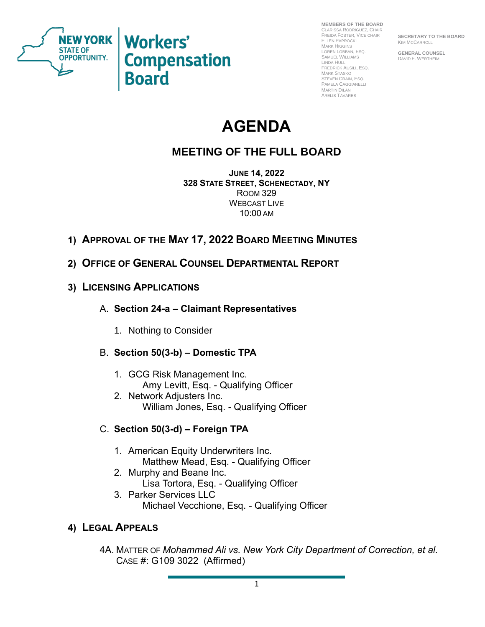

**Workers' Compensation Board** 

**MEMBERS OF THE BOARD** CLARISSA RODRIGUEZ, CHAIR FREIDA FOSTER, VICE CHAIR ELLEN PAPROCKI MARK HIGGINS LOREN LOBBAN, ESQ. SAMUEL WILLIAMS LINDA HULL FREDRICK AUSILI, ESQ. MARK STASKO STEVEN CRAIN, ESQ. PAMELA CAGGIANELLI MARTIN DILAN ARELIS TAVARES

**SECRETARY TO THE BOARD** KIM MCCARROLL

**GENERAL COUNSEL** DAVID F. WERTHEIM

# **AGENDA**

## **MEETING OF THE FULL BOARD**

**JUNE 14, 2022 328 STATE STREET, SCHENECTADY, NY** ROOM 329 WEBCAST LIVE 10:00 AM

- **1) APPROVAL OF THE MAY 17, 2022 BOARD MEETING MINUTES**
- **2) OFFICE OF GENERAL COUNSEL DEPARTMENTAL REPORT**
- **3) LICENSING APPLICATIONS**
	- A. **Section 24-a – Claimant Representatives** 
		- 1. Nothing to Consider

#### B. **Section 50(3-b) – Domestic TPA**

- 1. GCG Risk Management Inc. Amy Levitt, Esq. - Qualifying Officer
- 2. Network Adjusters Inc. William Jones, Esq. - Qualifying Officer

#### C. **Section 50(3-d) – Foreign TPA**

- 1. American Equity Underwriters Inc. Matthew Mead, Esq. - Qualifying Officer
- 2. Murphy and Beane Inc. Lisa Tortora, Esq. - Qualifying Officer
- 3. Parker Services LLC Michael Vecchione, Esq. - Qualifying Officer

### **4) LEGAL APPEALS**

4A. MATTER OF *Mohammed Ali vs. New York City Department of Correction, et al.* CASE #: G109 3022 (Affirmed)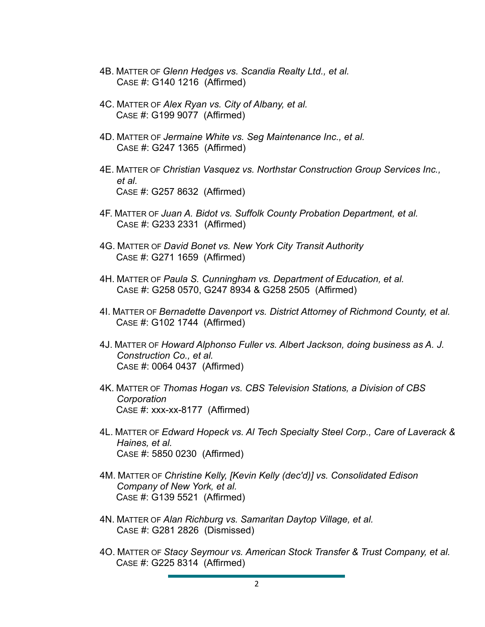- 4B. MATTER OF *Glenn Hedges vs. Scandia Realty Ltd., et al.* CASE #: G140 1216 (Affirmed)
- 4C. MATTER OF *Alex Ryan vs. City of Albany, et al.* CASE #: G199 9077 (Affirmed)
- 4D. MATTER OF *Jermaine White vs. Seg Maintenance Inc., et al.* CASE #: G247 1365 (Affirmed)
- 4E. MATTER OF *Christian Vasquez vs. Northstar Construction Group Services Inc., et al.* CASE #: G257 8632 (Affirmed)
- 4F. MATTER OF *Juan A. Bidot vs. Suffolk County Probation Department, et al.* CASE #: G233 2331 (Affirmed)
- 4G. MATTER OF *David Bonet vs. New York City Transit Authority* CASE #: G271 1659 (Affirmed)
- 4H. MATTER OF *Paula S. Cunningham vs. Department of Education, et al.* CASE #: G258 0570, G247 8934 & G258 2505 (Affirmed)
- 4I. MATTER OF *Bernadette Davenport vs. District Attorney of Richmond County, et al.* CASE #: G102 1744 (Affirmed)
- 4J. MATTER OF *Howard Alphonso Fuller vs. Albert Jackson, doing business as A. J. Construction Co., et al.* CASE #: 0064 0437 (Affirmed)
- 4K. MATTER OF *Thomas Hogan vs. CBS Television Stations, a Division of CBS Corporation* CASE #: xxx-xx-8177 (Affirmed)
- 4L. MATTER OF *Edward Hopeck vs. Al Tech Specialty Steel Corp., Care of Laverack & Haines, et al.* CASE #: 5850 0230 (Affirmed)
- 4M. MATTER OF *Christine Kelly, [Kevin Kelly (dec'd)] vs. Consolidated Edison Company of New York, et al.* CASE #: G139 5521 (Affirmed)
- 4N. MATTER OF *Alan Richburg vs. Samaritan Daytop Village, et al.* CASE #: G281 2826 (Dismissed)
- 4O. MATTER OF *Stacy Seymour vs. American Stock Transfer & Trust Company, et al.* CASE #: G225 8314 (Affirmed)